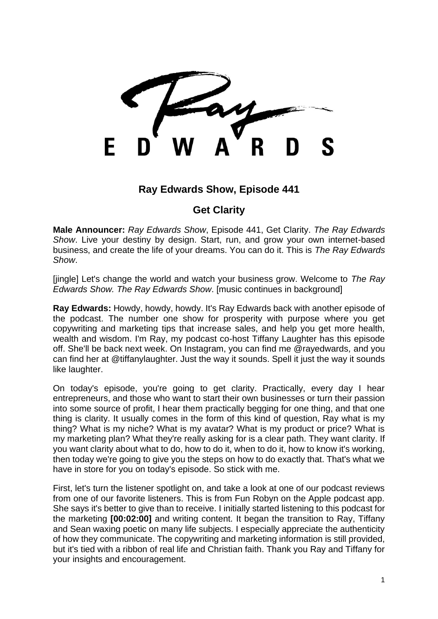F

## **Ray Edwards Show, Episode 441**

## **Get Clarity**

**Male Announcer:** *Ray Edwards Show*, Episode 441, Get Clarity. *The Ray Edwards Show*. Live your destiny by design. Start, run, and grow your own internet-based business, and create the life of your dreams. You can do it. This is *The Ray Edwards Show*.

[jingle] Let's change the world and watch your business grow. Welcome to *The Ray Edwards Show. The Ray Edwards Show*. [music continues in background]

**Ray Edwards:** Howdy, howdy, howdy. It's Ray Edwards back with another episode of the podcast. The number one show for prosperity with purpose where you get copywriting and marketing tips that increase sales, and help you get more health, wealth and wisdom. I'm Ray, my podcast co-host Tiffany Laughter has this episode off. She'll be back next week. On Instagram, you can find me @rayedwards*,* and you can find her at @tiffanylaughter. Just the way it sounds. Spell it just the way it sounds like laughter.

On today's episode, you're going to get clarity. Practically, every day I hear entrepreneurs, and those who want to start their own businesses or turn their passion into some source of profit, I hear them practically begging for one thing, and that one thing is clarity. It usually comes in the form of this kind of question, Ray what is my thing? What is my niche? What is my avatar? What is my product or price? What is my marketing plan? What they're really asking for is a clear path. They want clarity. If you want clarity about what to do, how to do it, when to do it, how to know it's working, then today we're going to give you the steps on how to do exactly that. That's what we have in store for you on today's episode. So stick with me.

First, let's turn the listener spotlight on, and take a look at one of our podcast reviews from one of our favorite listeners. This is from Fun Robyn on the Apple podcast app. She says it's better to give than to receive. I initially started listening to this podcast for the marketing **[00:02:00]** and writing content. It began the transition to Ray, Tiffany and Sean waxing poetic on many life subjects. I especially appreciate the authenticity of how they communicate. The copywriting and marketing information is still provided, but it's tied with a ribbon of real life and Christian faith. Thank you Ray and Tiffany for your insights and encouragement.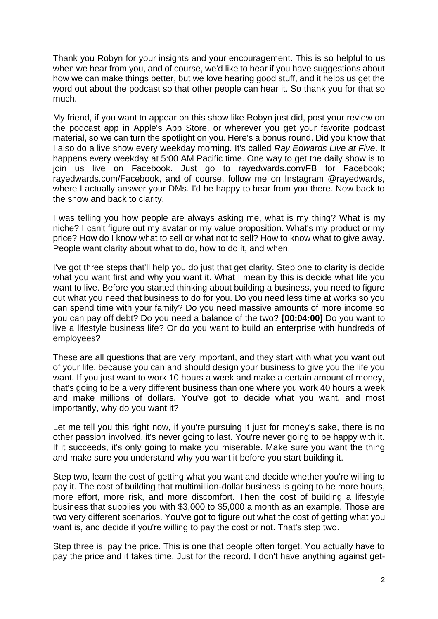Thank you Robyn for your insights and your encouragement. This is so helpful to us when we hear from you, and of course, we'd like to hear if you have suggestions about how we can make things better, but we love hearing good stuff, and it helps us get the word out about the podcast so that other people can hear it. So thank you for that so much.

My friend, if you want to appear on this show like Robyn just did, post your review on the podcast app in Apple's App Store, or wherever you get your favorite podcast material, so we can turn the spotlight on you. Here's a bonus round. Did you know that I also do a live show every weekday morning. It's called *Ray Edwards Live at Five*. It happens every weekday at 5:00 AM Pacific time. One way to get the daily show is to join us live on Facebook. Just go to rayedwards.com/FB for Facebook; rayedwards.com/Facebook, and of course, follow me on Instagram @rayedwards, where I actually answer your DMs. I'd be happy to hear from you there. Now back to the show and back to clarity.

I was telling you how people are always asking me, what is my thing? What is my niche? I can't figure out my avatar or my value proposition. What's my product or my price? How do I know what to sell or what not to sell? How to know what to give away. People want clarity about what to do, how to do it, and when.

I've got three steps that'll help you do just that get clarity. Step one to clarity is decide what you want first and why you want it. What I mean by this is decide what life you want to live. Before you started thinking about building a business, you need to figure out what you need that business to do for you. Do you need less time at works so you can spend time with your family? Do you need massive amounts of more income so you can pay off debt? Do you need a balance of the two? **[00:04:00]** Do you want to live a lifestyle business life? Or do you want to build an enterprise with hundreds of employees?

These are all questions that are very important, and they start with what you want out of your life, because you can and should design your business to give you the life you want. If you just want to work 10 hours a week and make a certain amount of money, that's going to be a very different business than one where you work 40 hours a week and make millions of dollars. You've got to decide what you want, and most importantly, why do you want it?

Let me tell you this right now, if you're pursuing it just for money's sake, there is no other passion involved, it's never going to last. You're never going to be happy with it. If it succeeds, it's only going to make you miserable. Make sure you want the thing and make sure you understand why you want it before you start building it.

Step two, learn the cost of getting what you want and decide whether you're willing to pay it. The cost of building that multimillion-dollar business is going to be more hours, more effort, more risk, and more discomfort. Then the cost of building a lifestyle business that supplies you with \$3,000 to \$5,000 a month as an example. Those are two very different scenarios. You've got to figure out what the cost of getting what you want is, and decide if you're willing to pay the cost or not. That's step two.

Step three is, pay the price. This is one that people often forget. You actually have to pay the price and it takes time. Just for the record, I don't have anything against get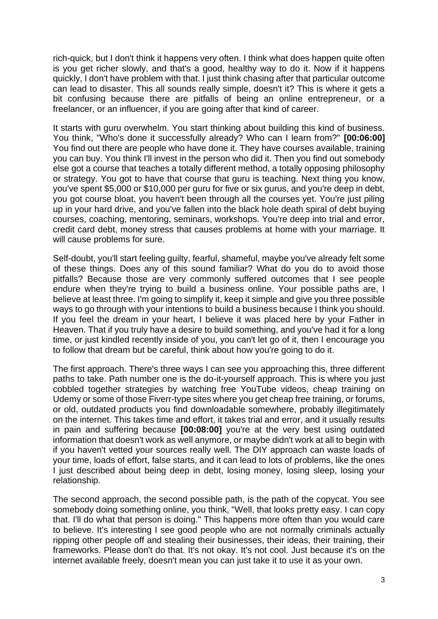rich-quick, but I don't think it happens very often. I think what does happen quite often is you get richer slowly, and that's a good, healthy way to do it. Now if it happens quickly, I don't have problem with that. I just think chasing after that particular outcome can lead to disaster. This all sounds really simple, doesn't it? This is where it gets a bit confusing because there are pitfalls of being an online entrepreneur, or a freelancer, or an influencer, if you are going after that kind of career.

It starts with guru overwhelm. You start thinking about building this kind of business. You think, "Who's done it successfully already? Who can I learn from?" **[00:06:00]** You find out there are people who have done it. They have courses available, training you can buy. You think I'll invest in the person who did it. Then you find out somebody else got a course that teaches a totally different method, a totally opposing philosophy or strategy. You got to have that course that guru is teaching. Next thing you know, you've spent \$5,000 or \$10,000 per guru for five or six gurus, and you're deep in debt, you got course bloat, you haven't been through all the courses yet. You're just piling up in your hard drive, and you've fallen into the black hole death spiral of debt buying courses, coaching, mentoring, seminars, workshops. You're deep into trial and error, credit card debt, money stress that causes problems at home with your marriage. It will cause problems for sure.

Self-doubt, you'll start feeling guilty, fearful, shameful, maybe you've already felt some of these things. Does any of this sound familiar? What do you do to avoid those pitfalls? Because those are very commonly suffered outcomes that I see people endure when they're trying to build a business online. Your possible paths are, I believe at least three. I'm going to simplify it, keep it simple and give you three possible ways to go through with your intentions to build a business because I think you should. If you feel the dream in your heart, I believe it was placed here by your Father in Heaven. That if you truly have a desire to build something, and you've had it for a long time, or just kindled recently inside of you, you can't let go of it, then I encourage you to follow that dream but be careful, think about how you're going to do it.

The first approach. There's three ways I can see you approaching this, three different paths to take. Path number one is the do-it-yourself approach. This is where you just cobbled together strategies by watching free YouTube videos, cheap training on Udemy or some of those Fiverr-type sites where you get cheap free training, or forums, or old, outdated products you find downloadable somewhere, probably illegitimately on the internet. This takes time and effort, it takes trial and error, and it usually results in pain and suffering because **[00:08:00]** you're at the very best using outdated information that doesn't work as well anymore, or maybe didn't work at all to begin with if you haven't vetted your sources really well. The DIY approach can waste loads of your time, loads of effort, false starts, and it can lead to lots of problems, like the ones I just described about being deep in debt, losing money, losing sleep, losing your relationship.

The second approach, the second possible path, is the path of the copycat. You see somebody doing something online, you think, "Well, that looks pretty easy. I can copy that. I'll do what that person is doing." This happens more often than you would care to believe. It's interesting I see good people who are not normally criminals actually ripping other people off and stealing their businesses, their ideas, their training, their frameworks. Please don't do that. It's not okay. It's not cool. Just because it's on the internet available freely, doesn't mean you can just take it to use it as your own.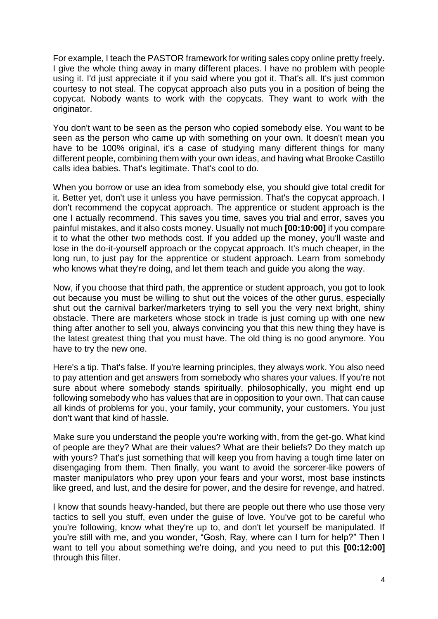For example, I teach the PASTOR framework for writing sales copy online pretty freely. I give the whole thing away in many different places. I have no problem with people using it. I'd just appreciate it if you said where you got it. That's all. It's just common courtesy to not steal. The copycat approach also puts you in a position of being the copycat. Nobody wants to work with the copycats. They want to work with the originator.

You don't want to be seen as the person who copied somebody else. You want to be seen as the person who came up with something on your own. It doesn't mean you have to be 100% original, it's a case of studying many different things for many different people, combining them with your own ideas, and having what Brooke Castillo calls idea babies. That's legitimate. That's cool to do.

When you borrow or use an idea from somebody else, you should give total credit for it. Better yet, don't use it unless you have permission. That's the copycat approach. I don't recommend the copycat approach. The apprentice or student approach is the one I actually recommend. This saves you time, saves you trial and error, saves you painful mistakes, and it also costs money. Usually not much **[00:10:00]** if you compare it to what the other two methods cost. If you added up the money, you'll waste and lose in the do-it-yourself approach or the copycat approach. It's much cheaper, in the long run, to just pay for the apprentice or student approach. Learn from somebody who knows what they're doing, and let them teach and guide you along the way.

Now, if you choose that third path, the apprentice or student approach, you got to look out because you must be willing to shut out the voices of the other gurus, especially shut out the carnival barker/marketers trying to sell you the very next bright, shiny obstacle. There are marketers whose stock in trade is just coming up with one new thing after another to sell you, always convincing you that this new thing they have is the latest greatest thing that you must have. The old thing is no good anymore. You have to try the new one.

Here's a tip. That's false. If you're learning principles, they always work. You also need to pay attention and get answers from somebody who shares your values. If you're not sure about where somebody stands spiritually, philosophically, you might end up following somebody who has values that are in opposition to your own. That can cause all kinds of problems for you, your family, your community, your customers. You just don't want that kind of hassle.

Make sure you understand the people you're working with, from the get-go. What kind of people are they? What are their values? What are their beliefs? Do they match up with yours? That's just something that will keep you from having a tough time later on disengaging from them. Then finally, you want to avoid the sorcerer-like powers of master manipulators who prey upon your fears and your worst, most base instincts like greed, and lust, and the desire for power, and the desire for revenge, and hatred.

I know that sounds heavy-handed, but there are people out there who use those very tactics to sell you stuff, even under the guise of love. You've got to be careful who you're following, know what they're up to, and don't let yourself be manipulated. If you're still with me, and you wonder, "Gosh, Ray, where can I turn for help?" Then I want to tell you about something we're doing, and you need to put this **[00:12:00]** through this filter.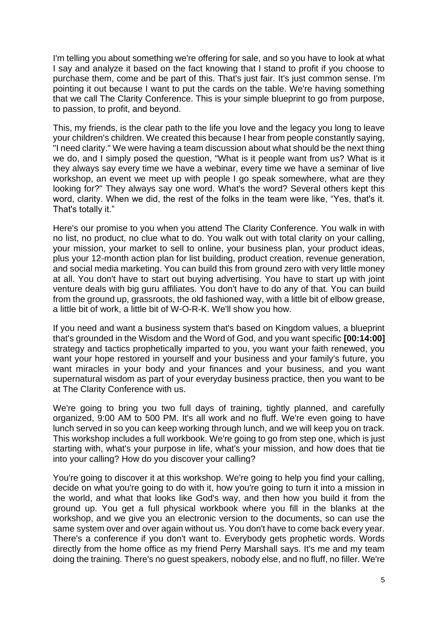I'm telling you about something we're offering for sale, and so you have to look at what I say and analyze it based on the fact knowing that I stand to profit if you choose to purchase them, come and be part of this. That's just fair. It's just common sense. I'm pointing it out because I want to put the cards on the table. We're having something that we call The Clarity Conference. This is your simple blueprint to go from purpose, to passion, to profit, and beyond.

This, my friends, is the clear path to the life you love and the legacy you long to leave your children's children. We created this because I hear from people constantly saying, "I need clarity." We were having a team discussion about what should be the next thing we do, and I simply posed the question, "What is it people want from us? What is it they always say every time we have a webinar, every time we have a seminar of live workshop, an event we meet up with people I go speak somewhere, what are they looking for?" They always say one word. What's the word? Several others kept this word, clarity. When we did, the rest of the folks in the team were like, "Yes, that's it. That's totally it."

Here's our promise to you when you attend The Clarity Conference. You walk in with no list, no product, no clue what to do. You walk out with total clarity on your calling, your mission, your market to sell to online, your business plan, your product ideas, plus your 12-month action plan for list building, product creation, revenue generation, and social media marketing. You can build this from ground zero with very little money at all. You don't have to start out buying advertising. You have to start up with joint venture deals with big guru affiliates. You don't have to do any of that. You can build from the ground up, grassroots, the old fashioned way, with a little bit of elbow grease, a little bit of work, a little bit of W-O-R-K. We'll show you how.

If you need and want a business system that's based on Kingdom values, a blueprint that's grounded in the Wisdom and the Word of God, and you want specific **[00:14:00]**  strategy and tactics prophetically imparted to you, you want your faith renewed, you want your hope restored in yourself and your business and your family's future, you want miracles in your body and your finances and your business, and you want supernatural wisdom as part of your everyday business practice, then you want to be at The Clarity Conference with us.

We're going to bring you two full days of training, tightly planned, and carefully organized, 9:00 AM to 500 PM. It's all work and no fluff. We're even going to have lunch served in so you can keep working through lunch, and we will keep you on track. This workshop includes a full workbook. We're going to go from step one, which is just starting with, what's your purpose in life, what's your mission, and how does that tie into your calling? How do you discover your calling?

You're going to discover it at this workshop. We're going to help you find your calling, decide on what you're going to do with it, how you're going to turn it into a mission in the world, and what that looks like God's way, and then how you build it from the ground up. You get a full physical workbook where you fill in the blanks at the workshop, and we give you an electronic version to the documents, so can use the same system over and over again without us. You don't have to come back every year. There's a conference if you don't want to. Everybody gets prophetic words. Words directly from the home office as my friend Perry Marshall says. It's me and my team doing the training. There's no guest speakers, nobody else, and no fluff, no filler. We're